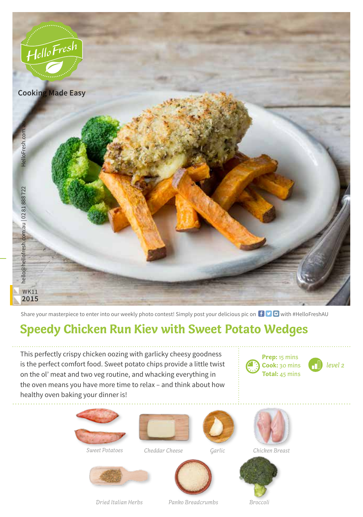

Share your masterpiece to enter into our weekly photo contest! Simply post your delicious pic on  $\bigoplus$   $\bigoplus$  with #HelloFreshAU

## **Speedy Chicken Run Kiev with Sweet Potato Wedges**

This perfectly crispy chicken oozing with garlicky cheesy goodness is the perfect comfort food. Sweet potato chips provide a little twist on the ol' meat and two veg routine, and whacking everything in the oven means you have more time to relax – and think about how healthy oven baking your dinner is!



*level 2*







*Sweet Potatoes Chicken Breast Cheddar Cheese*





*Dried Italian Herbs*



*Panko Breadcrumbs*